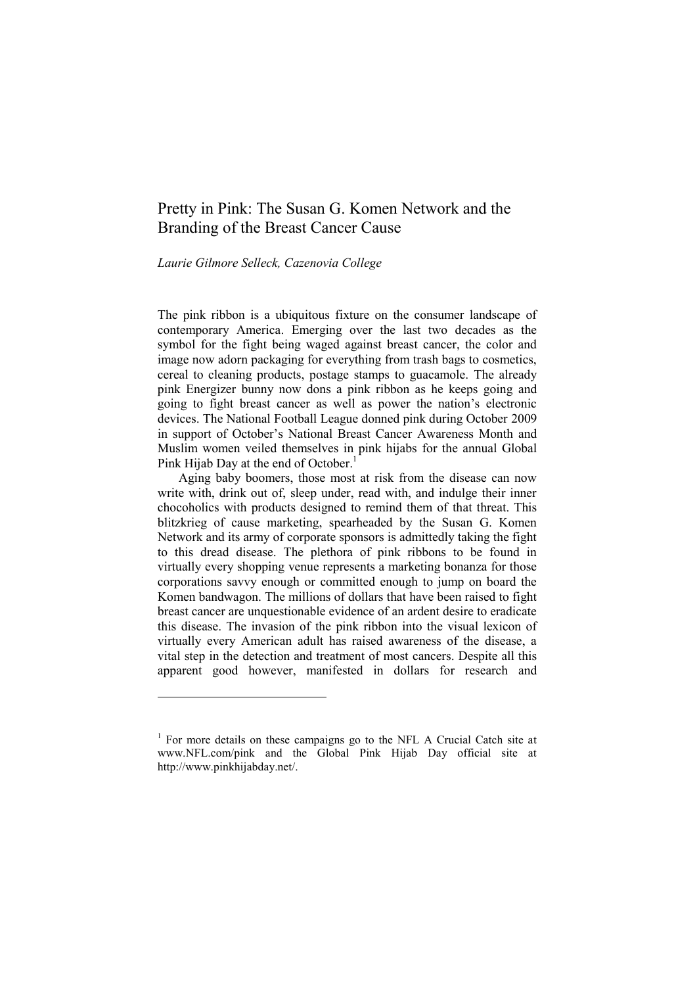# Pretty in Pink: The Susan G. Komen Network and the Branding of the Breast Cancer Cause

# *Laurie Gilmore Selleck, Cazenovia College*

-

The pink ribbon is a ubiquitous fixture on the consumer landscape of contemporary America. Emerging over the last two decades as the symbol for the fight being waged against breast cancer, the color and image now adorn packaging for everything from trash bags to cosmetics, cereal to cleaning products, postage stamps to guacamole. The already pink Energizer bunny now dons a pink ribbon as he keeps going and going to fight breast cancer as well as power the nation's electronic devices. The National Football League donned pink during October 2009 in support of October's National Breast Cancer Awareness Month and Muslim women veiled themselves in pink hijabs for the annual Global Pink Hijab Day at the end of October.<sup>1</sup>

Aging baby boomers, those most at risk from the disease can now write with, drink out of, sleep under, read with, and indulge their inner chocoholics with products designed to remind them of that threat. This blitzkrieg of cause marketing, spearheaded by the Susan G. Komen Network and its army of corporate sponsors is admittedly taking the fight to this dread disease. The plethora of pink ribbons to be found in virtually every shopping venue represents a marketing bonanza for those corporations savvy enough or committed enough to jump on board the Komen bandwagon. The millions of dollars that have been raised to fight breast cancer are unquestionable evidence of an ardent desire to eradicate this disease. The invasion of the pink ribbon into the visual lexicon of virtually every American adult has raised awareness of the disease, a vital step in the detection and treatment of most cancers. Despite all this apparent good however, manifested in dollars for research and

<sup>&</sup>lt;sup>1</sup> For more details on these campaigns go to the NFL A Crucial Catch site at [www.NFL.com/pink](http://www.nfl.com/pink) and the Global Pink Hijab Day official site at [http://www.pinkhijabday.net/.](http://www.pinkhijabday.net/)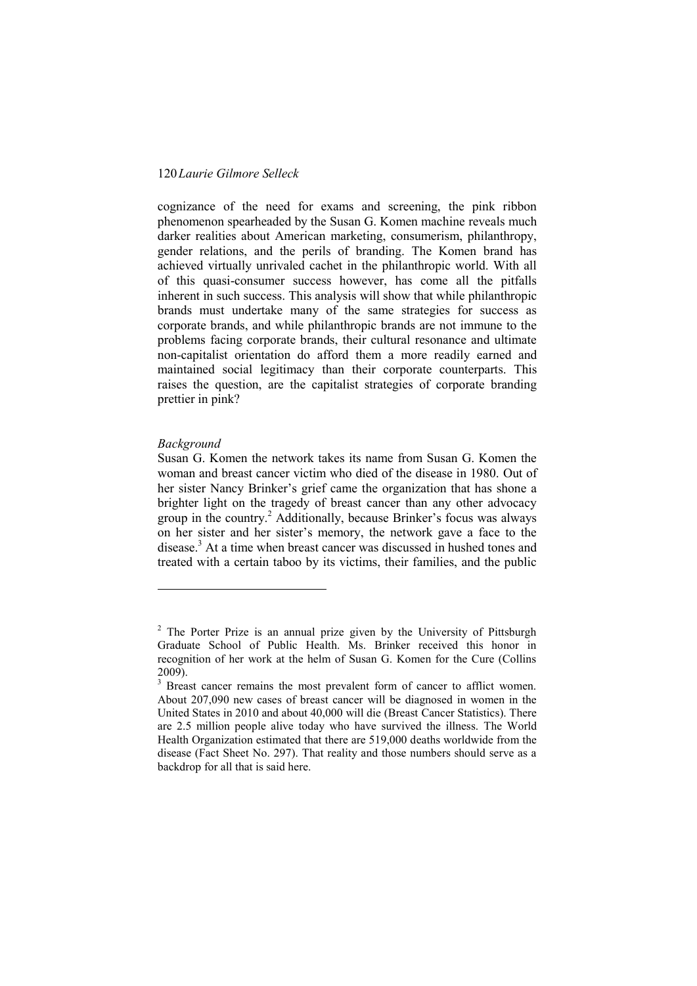cognizance of the need for exams and screening, the pink ribbon phenomenon spearheaded by the Susan G. Komen machine reveals much darker realities about American marketing, consumerism, philanthropy, gender relations, and the perils of branding. The Komen brand has achieved virtually unrivaled cachet in the philanthropic world. With all of this quasi-consumer success however, has come all the pitfalls inherent in such success. This analysis will show that while philanthropic brands must undertake many of the same strategies for success as corporate brands, and while philanthropic brands are not immune to the problems facing corporate brands, their cultural resonance and ultimate non-capitalist orientation do afford them a more readily earned and maintained social legitimacy than their corporate counterparts. This raises the question, are the capitalist strategies of corporate branding prettier in pink?

#### *Background*

1

Susan G. Komen the network takes its name from Susan G. Komen the woman and breast cancer victim who died of the disease in 1980. Out of her sister Nancy Brinker's grief came the organization that has shone a brighter light on the tragedy of breast cancer than any other advocacy group in the country.<sup>2</sup> Additionally, because Brinker's focus was always on her sister and her sister's memory, the network gave a face to the disease.<sup>3</sup> At a time when breast cancer was discussed in hushed tones and treated with a certain taboo by its victims, their families, and the public

<sup>&</sup>lt;sup>2</sup> The Porter Prize is an annual prize given by the University of Pittsburgh Graduate School of Public Health. Ms. Brinker received this honor in recognition of her work at the helm of Susan G. Komen for the Cure (Collins 2009).

<sup>&</sup>lt;sup>3</sup> Breast cancer remains the most prevalent form of cancer to afflict women. About 207,090 new cases of breast cancer will be diagnosed in women in the United States in 2010 and about 40,000 will die (Breast Cancer Statistics). There are 2.5 million people alive today who have survived the illness. The World Health Organization estimated that there are 519,000 deaths worldwide from the disease (Fact Sheet No. 297). That reality and those numbers should serve as a backdrop for all that is said here.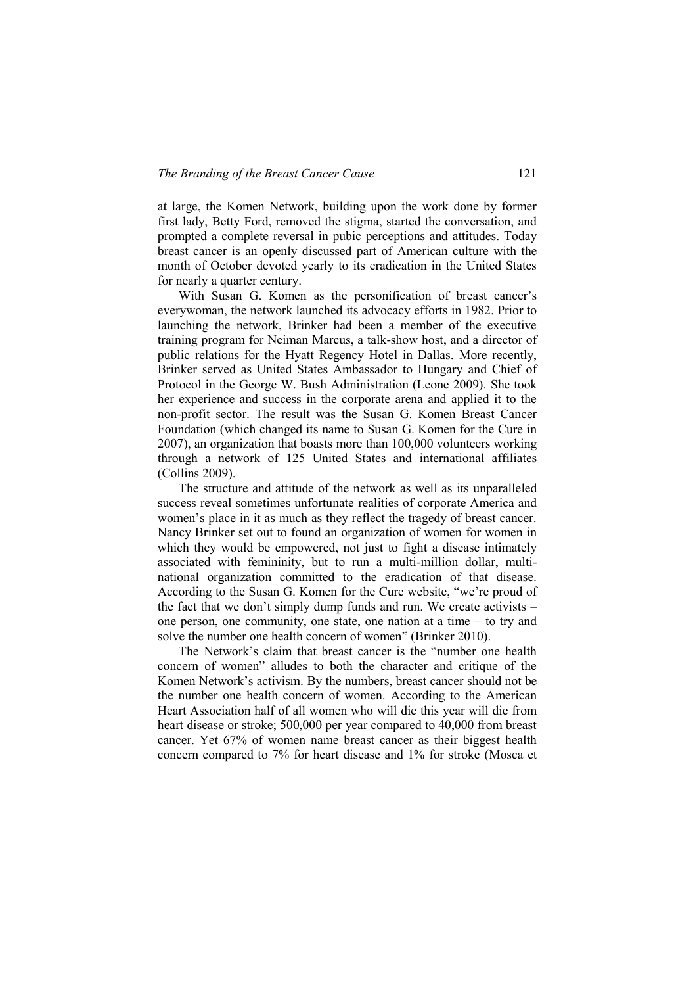at large, the Komen Network, building upon the work done by former first lady, Betty Ford, removed the stigma, started the conversation, and prompted a complete reversal in pubic perceptions and attitudes. Today breast cancer is an openly discussed part of American culture with the month of October devoted yearly to its eradication in the United States for nearly a quarter century.

With Susan G. Komen as the personification of breast cancer's everywoman, the network launched its advocacy efforts in 1982. Prior to launching the network, Brinker had been a member of the executive training program for Neiman Marcus, a talk-show host, and a director of public relations for the Hyatt Regency Hotel in Dallas. More recently, Brinker served as United States Ambassador to Hungary and Chief of Protocol in the George W. Bush Administration (Leone 2009). She took her experience and success in the corporate arena and applied it to the non-profit sector. The result was the Susan G. Komen Breast Cancer Foundation (which changed its name to Susan G. Komen for the Cure in 2007), an organization that boasts more than 100,000 volunteers working through a network of 125 United States and international affiliates (Collins 2009).

The structure and attitude of the network as well as its unparalleled success reveal sometimes unfortunate realities of corporate America and women's place in it as much as they reflect the tragedy of breast cancer. Nancy Brinker set out to found an organization of women for women in which they would be empowered, not just to fight a disease intimately associated with femininity, but to run a multi-million dollar, multinational organization committed to the eradication of that disease. According to the Susan G. Komen for the Cure website, "we're proud of the fact that we don't simply dump funds and run. We create activists – one person, one community, one state, one nation at a time – to try and solve the number one health concern of women" (Brinker 2010).

The Network's claim that breast cancer is the "number one health" concern of women" alludes to both the character and critique of the Komen Network's activism. By the numbers, breast cancer should not be the number one health concern of women. According to the American Heart Association half of all women who will die this year will die from heart disease or stroke; 500,000 per year compared to 40,000 from breast cancer. Yet 67% of women name breast cancer as their biggest health concern compared to 7% for heart disease and 1% for stroke (Mosca et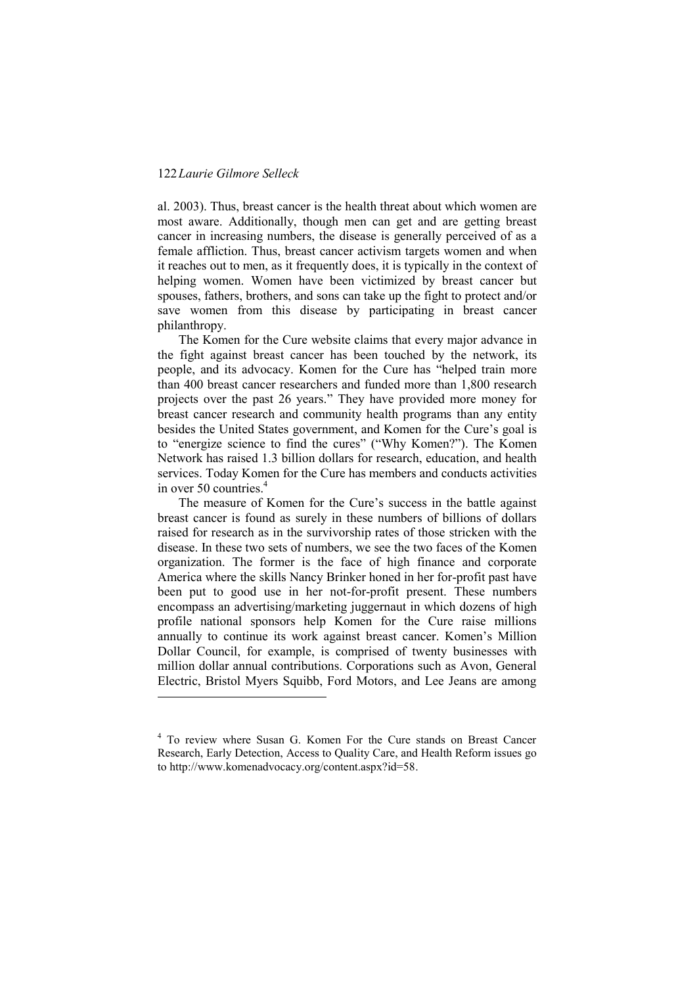-

al. 2003). Thus, breast cancer is the health threat about which women are most aware. Additionally, though men can get and are getting breast cancer in increasing numbers, the disease is generally perceived of as a female affliction. Thus, breast cancer activism targets women and when it reaches out to men, as it frequently does, it is typically in the context of helping women. Women have been victimized by breast cancer but spouses, fathers, brothers, and sons can take up the fight to protect and/or save women from this disease by participating in breast cancer philanthropy.

The Komen for the Cure website claims that every major advance in the fight against breast cancer has been touched by the network, its people, and its advocacy. Komen for the Cure has "helped train more than 400 breast cancer researchers and funded more than 1,800 research projects over the past 26 years." They have provided more money for breast cancer research and community health programs than any entity besides the United States government, and Komen for the Cure's goal is to "energize science to find the cures" ("Why Komen?"). The Komen Network has raised 1.3 billion dollars for research, education, and health services. Today Komen for the Cure has members and conducts activities in over 50 countries. $4$ 

The measure of Komen for the Cure's success in the battle against breast cancer is found as surely in these numbers of billions of dollars raised for research as in the survivorship rates of those stricken with the disease. In these two sets of numbers, we see the two faces of the Komen organization. The former is the face of high finance and corporate America where the skills Nancy Brinker honed in her for-profit past have been put to good use in her not-for-profit present. These numbers encompass an advertising/marketing juggernaut in which dozens of high profile national sponsors help Komen for the Cure raise millions annually to continue its work against breast cancer. Komen's Million Dollar Council, for example, is comprised of twenty businesses with million dollar annual contributions. Corporations such as Avon, General Electric, Bristol Myers Squibb, Ford Motors, and Lee Jeans are among

<sup>&</sup>lt;sup>4</sup> To review where Susan G. Komen For the Cure stands on Breast Cancer Research, Early Detection, Access to Quality Care, and Health Reform issues go to [http://www.komenadvocacy.org/content.aspx?id=58.](http://www.komenadvocacy.org/content.aspx?id=58)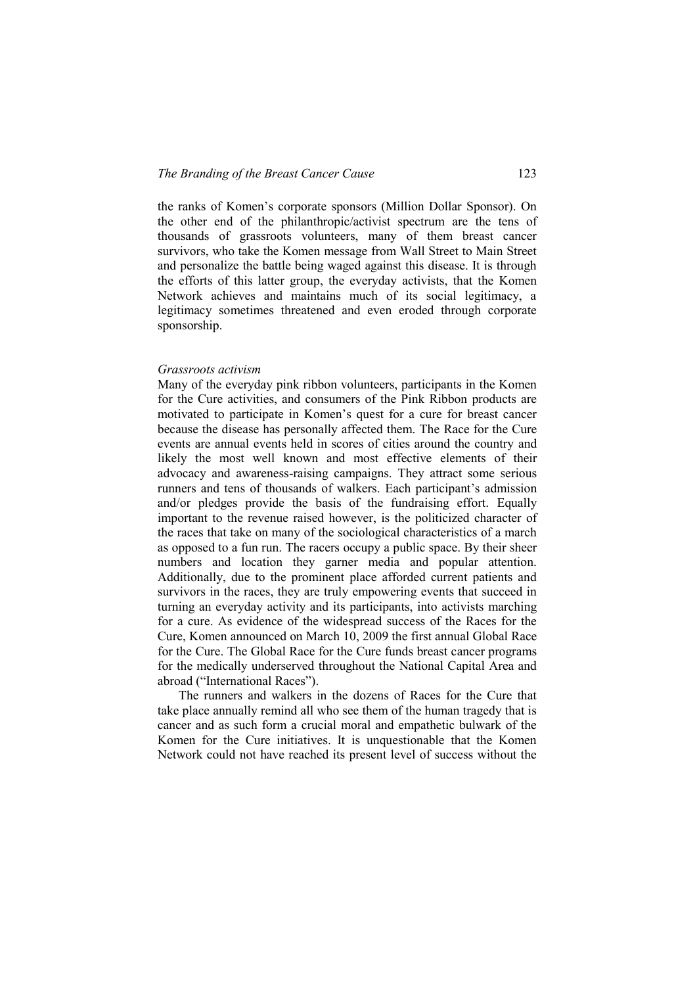the ranks of Komen's corporate sponsors (Million Dollar Sponsor). On the other end of the philanthropic/activist spectrum are the tens of thousands of grassroots volunteers, many of them breast cancer survivors, who take the Komen message from Wall Street to Main Street and personalize the battle being waged against this disease. It is through the efforts of this latter group, the everyday activists, that the Komen Network achieves and maintains much of its social legitimacy, a legitimacy sometimes threatened and even eroded through corporate sponsorship.

#### *Grassroots activism*

Many of the everyday pink ribbon volunteers, participants in the Komen for the Cure activities, and consumers of the Pink Ribbon products are motivated to participate in Komen's quest for a cure for breast cancer because the disease has personally affected them. The Race for the Cure events are annual events held in scores of cities around the country and likely the most well known and most effective elements of their advocacy and awareness-raising campaigns. They attract some serious runners and tens of thousands of walkers. Each participant's admission and/or pledges provide the basis of the fundraising effort. Equally important to the revenue raised however, is the politicized character of the races that take on many of the sociological characteristics of a march as opposed to a fun run. The racers occupy a public space. By their sheer numbers and location they garner media and popular attention. Additionally, due to the prominent place afforded current patients and survivors in the races, they are truly empowering events that succeed in turning an everyday activity and its participants, into activists marching for a cure. As evidence of the widespread success of the Races for the Cure, Komen announced on March 10, 2009 the first annual Global Race for the Cure. The Global Race for the Cure funds breast cancer programs for the medically underserved throughout the National Capital Area and abroad ("International Races").

The runners and walkers in the dozens of Races for the Cure that take place annually remind all who see them of the human tragedy that is cancer and as such form a crucial moral and empathetic bulwark of the Komen for the Cure initiatives. It is unquestionable that the Komen Network could not have reached its present level of success without the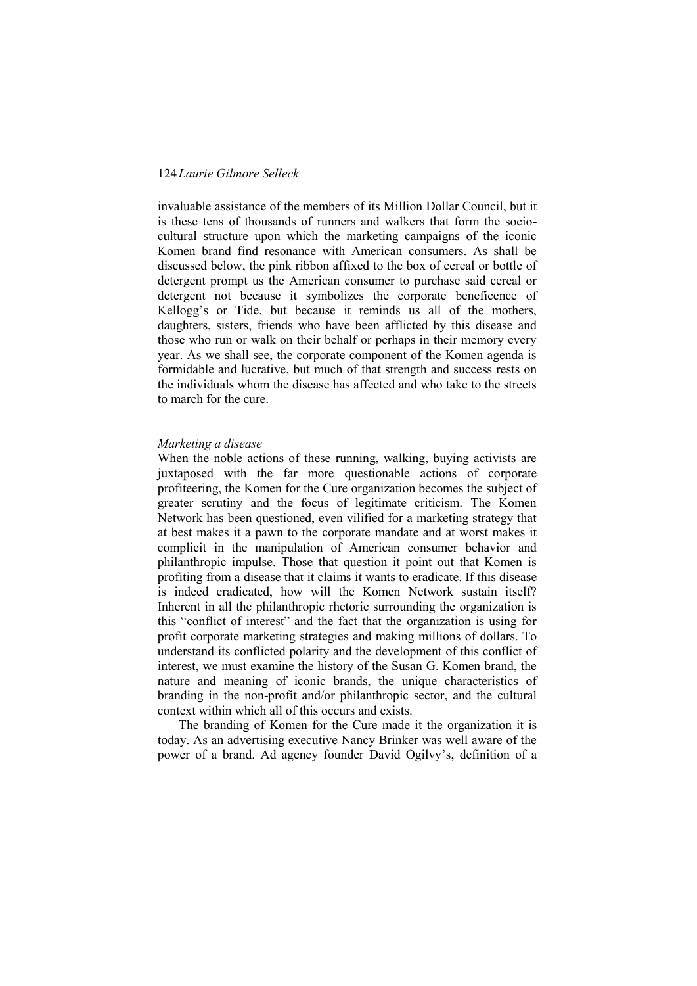invaluable assistance of the members of its Million Dollar Council, but it is these tens of thousands of runners and walkers that form the sociocultural structure upon which the marketing campaigns of the iconic Komen brand find resonance with American consumers. As shall be discussed below, the pink ribbon affixed to the box of cereal or bottle of detergent prompt us the American consumer to purchase said cereal or detergent not because it symbolizes the corporate beneficence of Kellogg's or Tide, but because it reminds us all of the mothers, daughters, sisters, friends who have been afflicted by this disease and those who run or walk on their behalf or perhaps in their memory every year. As we shall see, the corporate component of the Komen agenda is formidable and lucrative, but much of that strength and success rests on the individuals whom the disease has affected and who take to the streets to march for the cure.

#### *Marketing a disease*

When the noble actions of these running, walking, buying activists are juxtaposed with the far more questionable actions of corporate profiteering, the Komen for the Cure organization becomes the subject of greater scrutiny and the focus of legitimate criticism. The Komen Network has been questioned, even vilified for a marketing strategy that at best makes it a pawn to the corporate mandate and at worst makes it complicit in the manipulation of American consumer behavior and philanthropic impulse. Those that question it point out that Komen is profiting from a disease that it claims it wants to eradicate. If this disease is indeed eradicated, how will the Komen Network sustain itself? Inherent in all the philanthropic rhetoric surrounding the organization is this "conflict of interest" and the fact that the organization is using for profit corporate marketing strategies and making millions of dollars. To understand its conflicted polarity and the development of this conflict of interest, we must examine the history of the Susan G. Komen brand, the nature and meaning of iconic brands, the unique characteristics of branding in the non-profit and/or philanthropic sector, and the cultural context within which all of this occurs and exists.

The branding of Komen for the Cure made it the organization it is today. As an advertising executive Nancy Brinker was well aware of the power of a brand. Ad agency founder David Ogilvy's, definition of a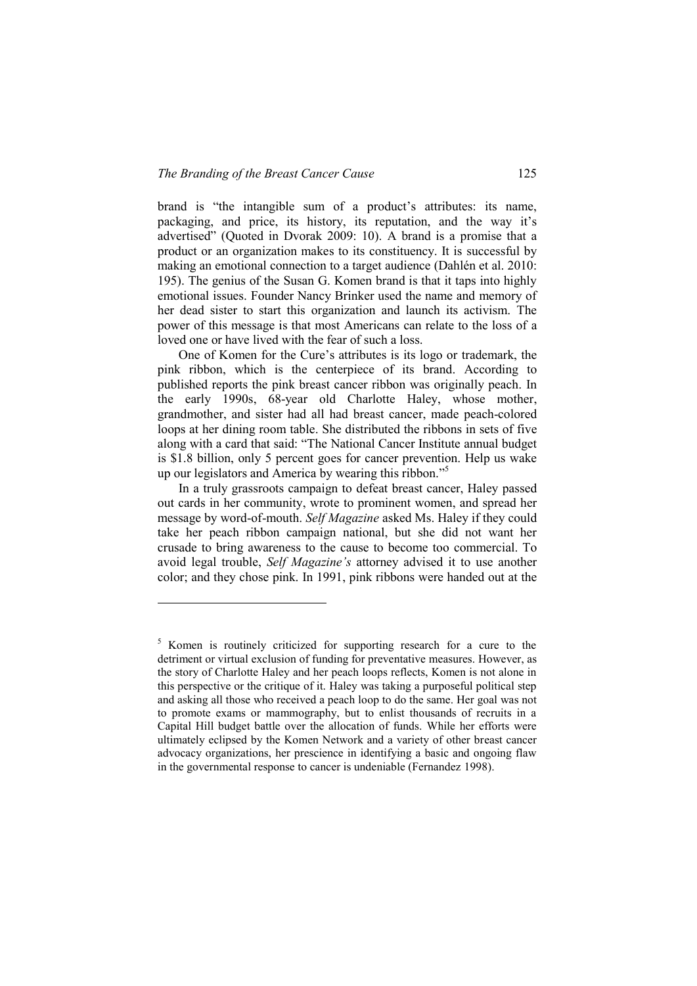-

brand is "the intangible sum of a product's attributes: its name, packaging, and price, its history, its reputation, and the way it's advertised" (Quoted in Dvorak 2009: 10). A brand is a promise that a product or an organization makes to its constituency. It is successful by making an emotional connection to a target audience (Dahlén et al. 2010: 195). The genius of the Susan G. Komen brand is that it taps into highly emotional issues. Founder Nancy Brinker used the name and memory of her dead sister to start this organization and launch its activism. The power of this message is that most Americans can relate to the loss of a loved one or have lived with the fear of such a loss.

One of Komen for the Cure's attributes is its logo or trademark, the pink ribbon, which is the centerpiece of its brand. According to published reports the pink breast cancer ribbon was originally peach. In the early 1990s, 68-year old Charlotte Haley, whose mother, grandmother, and sister had all had breast cancer, made peach-colored loops at her dining room table. She distributed the ribbons in sets of five along with a card that said: "The National Cancer Institute annual budget is \$1.8 billion, only 5 percent goes for cancer prevention. Help us wake up our legislators and America by wearing this ribbon."<sup>5</sup>

In a truly grassroots campaign to defeat breast cancer, Haley passed out cards in her community, wrote to prominent women, and spread her message by word-of-mouth. *Self Magazine* asked Ms. Haley if they could take her peach ribbon campaign national, but she did not want her crusade to bring awareness to the cause to become too commercial. To avoid legal trouble, *Self Magazine's* attorney advised it to use another color; and they chose pink. In 1991, pink ribbons were handed out at the

<sup>&</sup>lt;sup>5</sup> Komen is routinely criticized for supporting research for a cure to the detriment or virtual exclusion of funding for preventative measures. However, as the story of Charlotte Haley and her peach loops reflects, Komen is not alone in this perspective or the critique of it. Haley was taking a purposeful political step and asking all those who received a peach loop to do the same. Her goal was not to promote exams or mammography, but to enlist thousands of recruits in a Capital Hill budget battle over the allocation of funds. While her efforts were ultimately eclipsed by the Komen Network and a variety of other breast cancer advocacy organizations, her prescience in identifying a basic and ongoing flaw in the governmental response to cancer is undeniable (Fernandez 1998).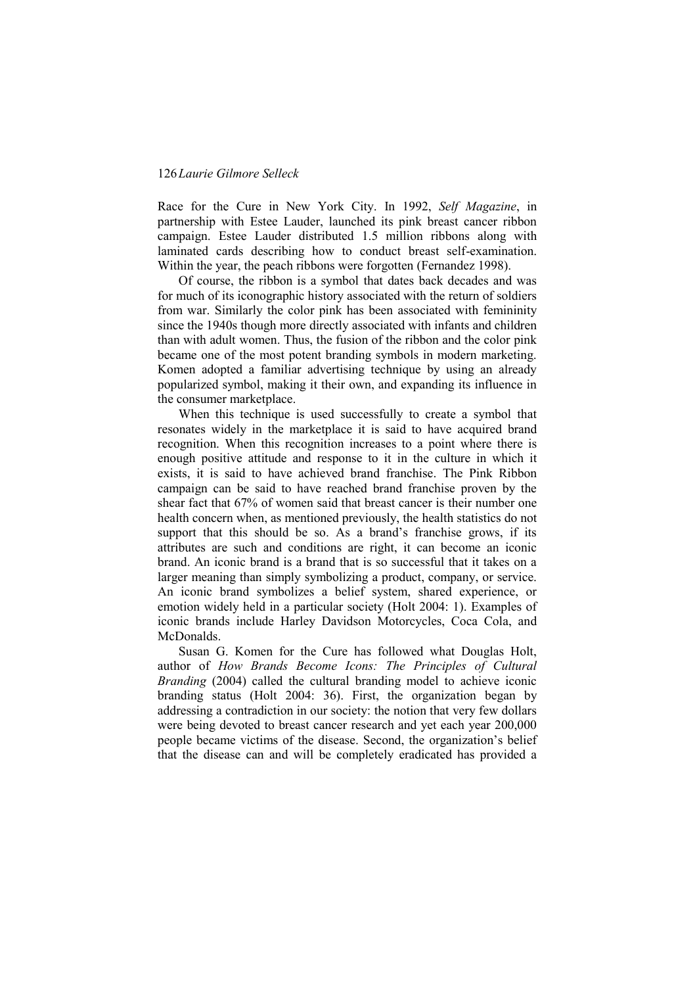Race for the Cure in New York City. In 1992, *Self Magazine*, in partnership with Estee Lauder, launched its pink breast cancer ribbon campaign. Estee Lauder distributed 1.5 million ribbons along with laminated cards describing how to conduct breast self-examination. Within the year, the peach ribbons were forgotten (Fernandez 1998).

Of course, the ribbon is a symbol that dates back decades and was for much of its iconographic history associated with the return of soldiers from war. Similarly the color pink has been associated with femininity since the 1940s though more directly associated with infants and children than with adult women. Thus, the fusion of the ribbon and the color pink became one of the most potent branding symbols in modern marketing. Komen adopted a familiar advertising technique by using an already popularized symbol, making it their own, and expanding its influence in the consumer marketplace.

When this technique is used successfully to create a symbol that resonates widely in the marketplace it is said to have acquired brand recognition. When this recognition increases to a point where there is enough positive attitude and response to it in the culture in which it exists, it is said to have achieved brand franchise. The Pink Ribbon campaign can be said to have reached brand franchise proven by the shear fact that 67% of women said that breast cancer is their number one health concern when, as mentioned previously, the health statistics do not support that this should be so. As a brand's franchise grows, if its attributes are such and conditions are right, it can become an iconic brand. An iconic brand is a brand that is so successful that it takes on a larger meaning than simply symbolizing a product, company, or service. An iconic brand symbolizes a belief system, shared experience, or emotion widely held in a particular society (Holt 2004: 1). Examples of iconic brands include Harley Davidson Motorcycles, Coca Cola, and **McDonalds** 

Susan G. Komen for the Cure has followed what Douglas Holt, author of *How Brands Become Icons: The Principles of Cultural Branding* (2004) called the cultural branding model to achieve iconic branding status (Holt 2004: 36). First, the organization began by addressing a contradiction in our society: the notion that very few dollars were being devoted to breast cancer research and yet each year 200,000 people became victims of the disease. Second, the organization's belief that the disease can and will be completely eradicated has provided a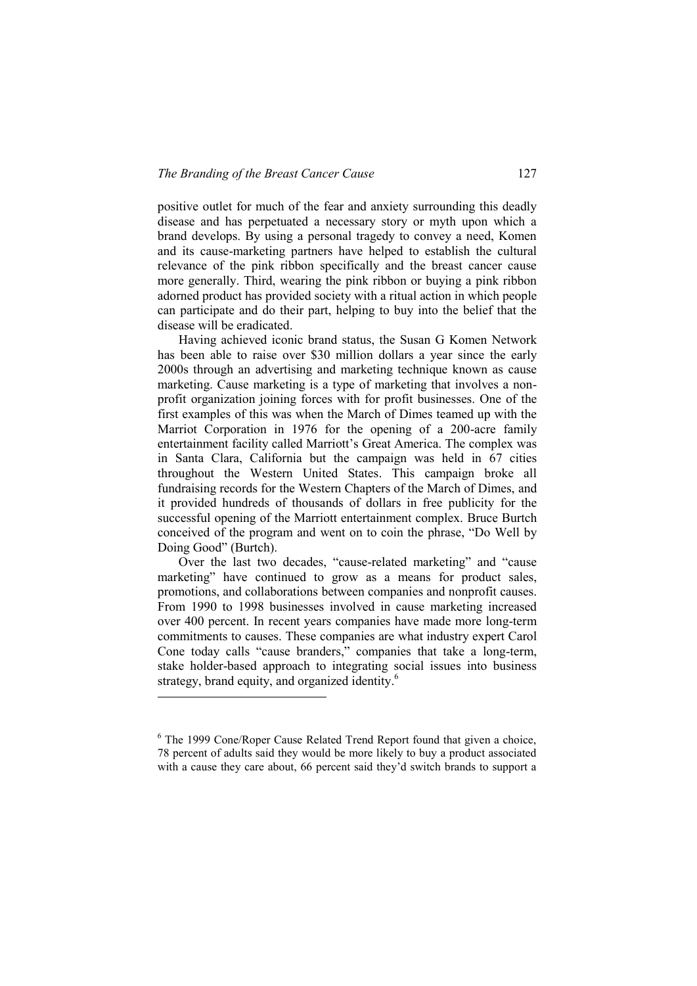positive outlet for much of the fear and anxiety surrounding this deadly disease and has perpetuated a necessary story or myth upon which a brand develops. By using a personal tragedy to convey a need, Komen and its cause-marketing partners have helped to establish the cultural relevance of the pink ribbon specifically and the breast cancer cause more generally. Third, wearing the pink ribbon or buying a pink ribbon adorned product has provided society with a ritual action in which people can participate and do their part, helping to buy into the belief that the disease will be eradicated.

Having achieved iconic brand status, the Susan G Komen Network has been able to raise over \$30 million dollars a year since the early 2000s through an advertising and marketing technique known as cause marketing. Cause marketing is a type of marketing that involves a nonprofit organization joining forces with for profit businesses. One of the first examples of this was when the March of Dimes teamed up with the Marriot Corporation in 1976 for the opening of a 200-acre family entertainment facility called Marriott's Great America. The complex was in Santa Clara, California but the campaign was held in 67 cities throughout the Western United States. This campaign broke all fundraising records for the Western Chapters of the March of Dimes, and it provided hundreds of thousands of dollars in free publicity for the successful opening of the Marriott entertainment complex. Bruce Burtch conceived of the program and went on to coin the phrase, "Do Well by Doing Good" (Burtch).

Over the last two decades, "cause-related marketing" and "cause marketing" have continued to grow as a means for product sales, promotions, and collaborations between companies and nonprofit causes. From 1990 to 1998 businesses involved in cause marketing increased over 400 percent. In recent years companies have made more long-term commitments to causes. These companies are what industry expert Carol Cone today calls "cause branders," companies that take a long-term, stake holder-based approach to integrating social issues into business strategy, brand equity, and organized identity.<sup>6</sup>

-

<sup>&</sup>lt;sup>6</sup> The 1999 Cone/Roper Cause Related Trend Report found that given a choice, 78 percent of adults said they would be more likely to buy a product associated with a cause they care about, 66 percent said they'd switch brands to support a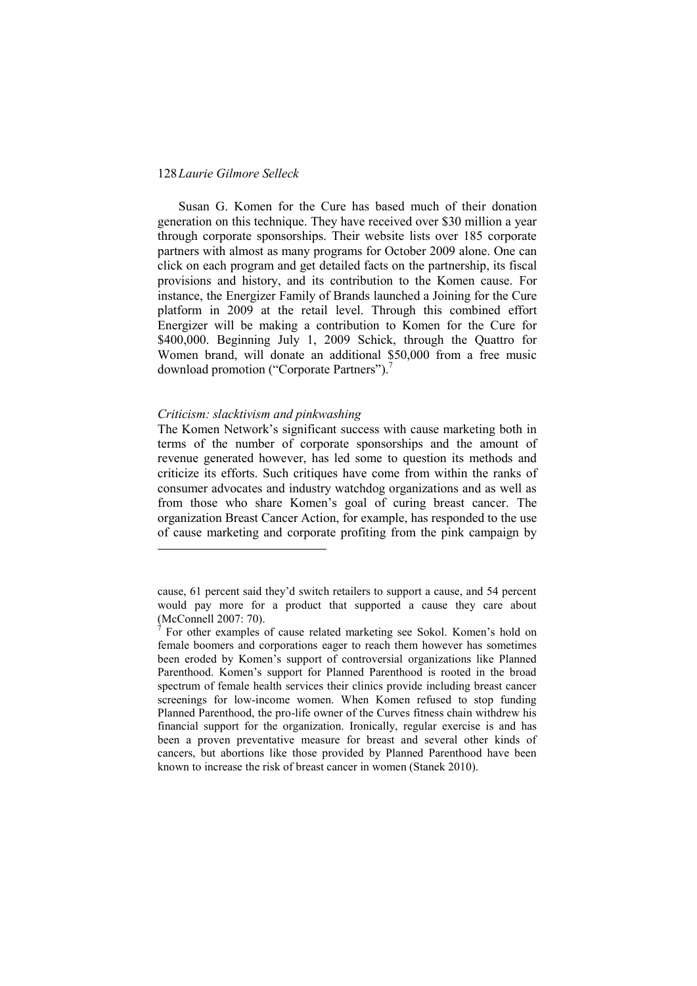Susan G. Komen for the Cure has based much of their donation generation on this technique. They have received over \$30 million a year through corporate sponsorships. Their website lists over 185 corporate partners with almost as many programs for October 2009 alone. One can click on each program and get detailed facts on the partnership, its fiscal provisions and history, and its contribution to the Komen cause. For instance, the Energizer Family of Brands launched a Joining for the Cure platform in 2009 at the retail level. Through this combined effort Energizer will be making a contribution to Komen for the Cure for \$400,000. Beginning July 1, 2009 Schick, through the Quattro for Women brand, will donate an additional \$50,000 from a free music download promotion ("Corporate Partners").<sup>7</sup>

#### *Criticism: slacktivism and pinkwashing*

1

The Komen Network's significant success with cause marketing both in terms of the number of corporate sponsorships and the amount of revenue generated however, has led some to question its methods and criticize its efforts. Such critiques have come from within the ranks of consumer advocates and industry watchdog organizations and as well as from those who share Komen's goal of curing breast cancer. The organization Breast Cancer Action, for example, has responded to the use of cause marketing and corporate profiting from the pink campaign by

cause, 61 percent said they'd switch retailers to support a cause, and 54 percent would pay more for a product that supported a cause they care about (McConnell 2007: 70).

<sup>7</sup> For other examples of cause related marketing see Sokol. Komen's hold on female boomers and corporations eager to reach them however has sometimes been eroded by Komen's support of controversial organizations like Planned Parenthood. Komen's support for Planned Parenthood is rooted in the broad spectrum of female health services their clinics provide including breast cancer screenings for low-income women. When Komen refused to stop funding Planned Parenthood, the pro-life owner of the Curves fitness chain withdrew his financial support for the organization. Ironically, regular exercise is and has been a proven preventative measure for breast and several other kinds of cancers, but abortions like those provided by Planned Parenthood have been known to increase the risk of breast cancer in women (Stanek 2010).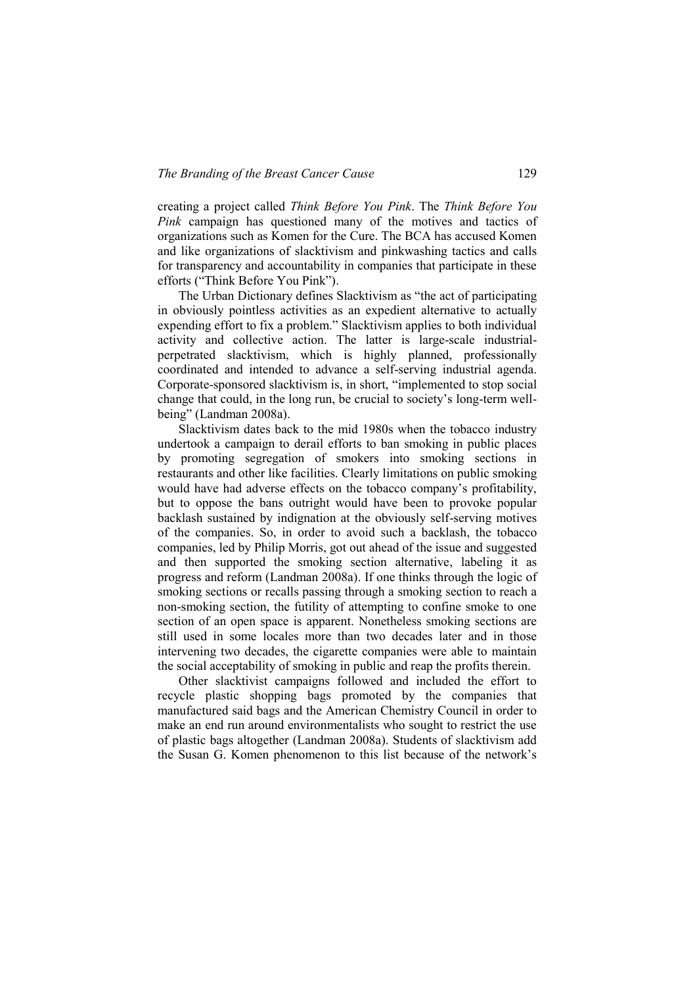creating a project called *Think Before You Pink*. The *Think Before You Pink* campaign has questioned many of the motives and tactics of organizations such as Komen for the Cure. The BCA has accused Komen and like organizations of slacktivism and pinkwashing tactics and calls for transparency and accountability in companies that participate in these efforts ("Think Before You Pink").

The Urban Dictionary defines Slacktivism as "the act of participating in obviously pointless activities as an expedient alternative to actually expending effort to fix a problem." Slacktivism applies to both individual activity and collective action. The latter is large-scale industrialperpetrated slacktivism, which is highly planned, professionally coordinated and intended to advance a self-serving industrial agenda. Corporate-sponsored slacktivism is, in short, "implemented to stop social change that could, in the long run, be crucial to society's long-term wellbeing" (Landman 2008a).

Slacktivism dates back to the mid 1980s when the tobacco industry undertook a campaign to derail efforts to ban smoking in public places by promoting segregation of smokers into smoking sections in restaurants and other like facilities. Clearly limitations on public smoking would have had adverse effects on the tobacco company's profitability, but to oppose the bans outright would have been to provoke popular backlash sustained by indignation at the obviously self-serving motives of the companies. So, in order to avoid such a backlash, the tobacco companies, led by Philip Morris, got out ahead of the issue and suggested and then supported the smoking section alternative, labeling it as progress and reform (Landman 2008a). If one thinks through the logic of smoking sections or recalls passing through a smoking section to reach a non-smoking section, the futility of attempting to confine smoke to one section of an open space is apparent. Nonetheless smoking sections are still used in some locales more than two decades later and in those intervening two decades, the cigarette companies were able to maintain the social acceptability of smoking in public and reap the profits therein.

Other slacktivist campaigns followed and included the effort to recycle plastic shopping bags promoted by the companies that manufactured said bags and the American Chemistry Council in order to make an end run around environmentalists who sought to restrict the use of plastic bags altogether (Landman 2008a). Students of slacktivism add the Susan G. Komen phenomenon to this list because of the network's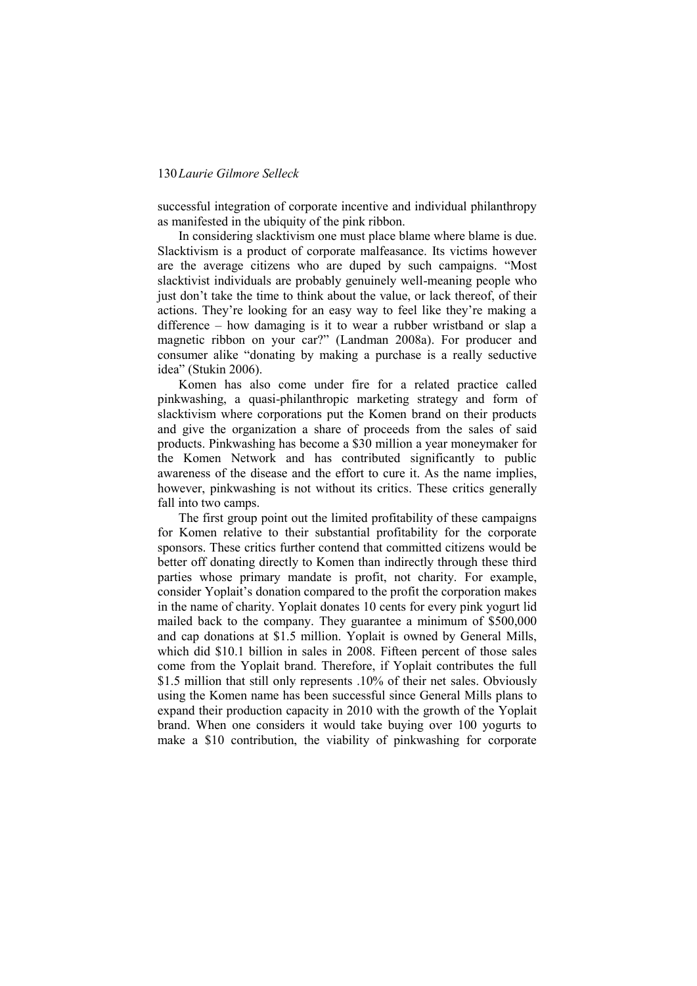successful integration of corporate incentive and individual philanthropy as manifested in the ubiquity of the pink ribbon.

In considering slacktivism one must place blame where blame is due. Slacktivism is a product of corporate malfeasance. Its victims however are the average citizens who are duped by such campaigns. "Most slacktivist individuals are probably genuinely well-meaning people who just don't take the time to think about the value, or lack thereof, of their actions. They're looking for an easy way to feel like they're making a difference – how damaging is it to wear a rubber wristband or slap a magnetic ribbon on your car?" (Landman 2008a). For producer and consumer alike "donating by making a purchase is a really seductive idea" (Stukin 2006).

Komen has also come under fire for a related practice called pinkwashing, a quasi-philanthropic marketing strategy and form of slacktivism where corporations put the Komen brand on their products and give the organization a share of proceeds from the sales of said products. Pinkwashing has become a \$30 million a year moneymaker for the Komen Network and has contributed significantly to public awareness of the disease and the effort to cure it. As the name implies, however, pinkwashing is not without its critics. These critics generally fall into two camps.

The first group point out the limited profitability of these campaigns for Komen relative to their substantial profitability for the corporate sponsors. These critics further contend that committed citizens would be better off donating directly to Komen than indirectly through these third parties whose primary mandate is profit, not charity. For example, consider Yoplait's donation compared to the profit the corporation makes in the name of charity. Yoplait donates 10 cents for every pink yogurt lid mailed back to the company. They guarantee a minimum of \$500,000 and cap donations at \$1.5 million. Yoplait is owned by General Mills, which did \$10.1 billion in sales in 2008. Fifteen percent of those sales come from the Yoplait brand. Therefore, if Yoplait contributes the full \$1.5 million that still only represents .10% of their net sales. Obviously using the Komen name has been successful since General Mills plans to expand their production capacity in 2010 with the growth of the Yoplait brand. When one considers it would take buying over 100 yogurts to make a \$10 contribution, the viability of pinkwashing for corporate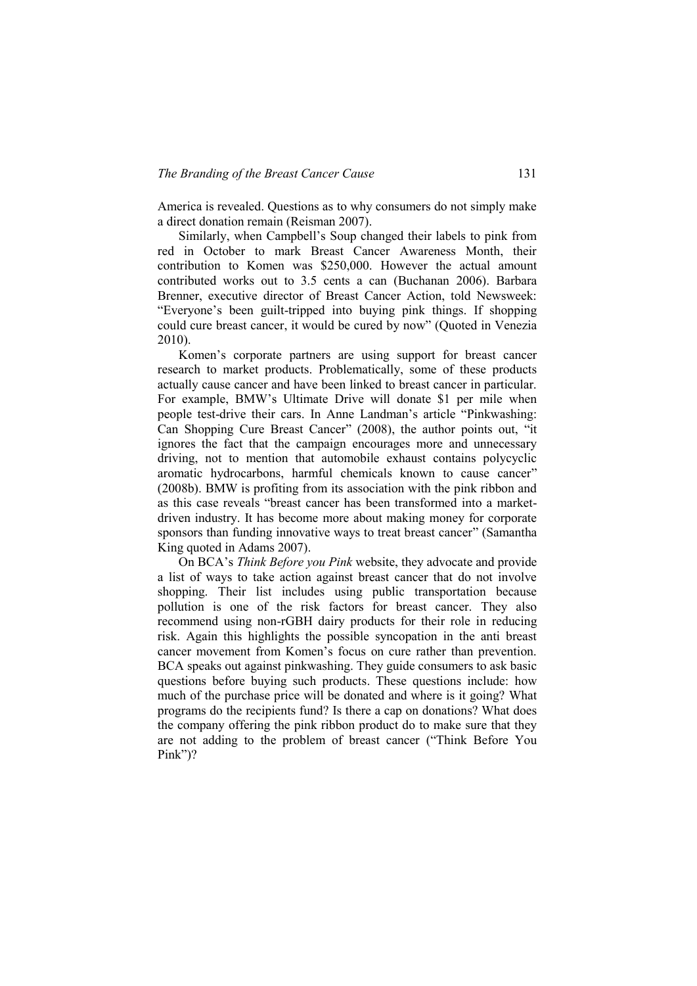America is revealed. Questions as to why consumers do not simply make a direct donation remain (Reisman 2007).

Similarly, when Campbell's Soup changed their labels to pink from red in October to mark Breast Cancer Awareness Month, their contribution to Komen was \$250,000. However the actual amount contributed works out to 3.5 cents a can (Buchanan 2006). Barbara Brenner, executive director of Breast Cancer Action, told Newsweek: ―Everyone's been guilt-tripped into buying pink things. If shopping could cure breast cancer, it would be cured by now" (Quoted in Venezia 2010).

Komen's corporate partners are using support for breast cancer research to market products. Problematically, some of these products actually cause cancer and have been linked to breast cancer in particular. For example, BMW's Ultimate Drive will donate \$1 per mile when people test-drive their cars. In Anne Landman's article "Pinkwashing: Can Shopping Cure Breast Cancer" (2008), the author points out, "it ignores the fact that the campaign encourages more and unnecessary driving, not to mention that automobile exhaust contains polycyclic aromatic hydrocarbons, harmful chemicals known to cause cancer" (2008b). BMW is profiting from its association with the pink ribbon and as this case reveals "breast cancer has been transformed into a marketdriven industry. It has become more about making money for corporate sponsors than funding innovative ways to treat breast cancer" (Samantha King quoted in Adams 2007).

On BCA's *Think Before you Pink* website, they advocate and provide a list of ways to take action against breast cancer that do not involve shopping. Their list includes using public transportation because pollution is one of the risk factors for breast cancer. They also recommend using non-rGBH dairy products for their role in reducing risk. Again this highlights the possible syncopation in the anti breast cancer movement from Komen's focus on cure rather than prevention. BCA speaks out against pinkwashing. They guide consumers to ask basic questions before buying such products. These questions include: how much of the purchase price will be donated and where is it going? What programs do the recipients fund? Is there a cap on donations? What does the company offering the pink ribbon product do to make sure that they are not adding to the problem of breast cancer ("Think Before You Pink")?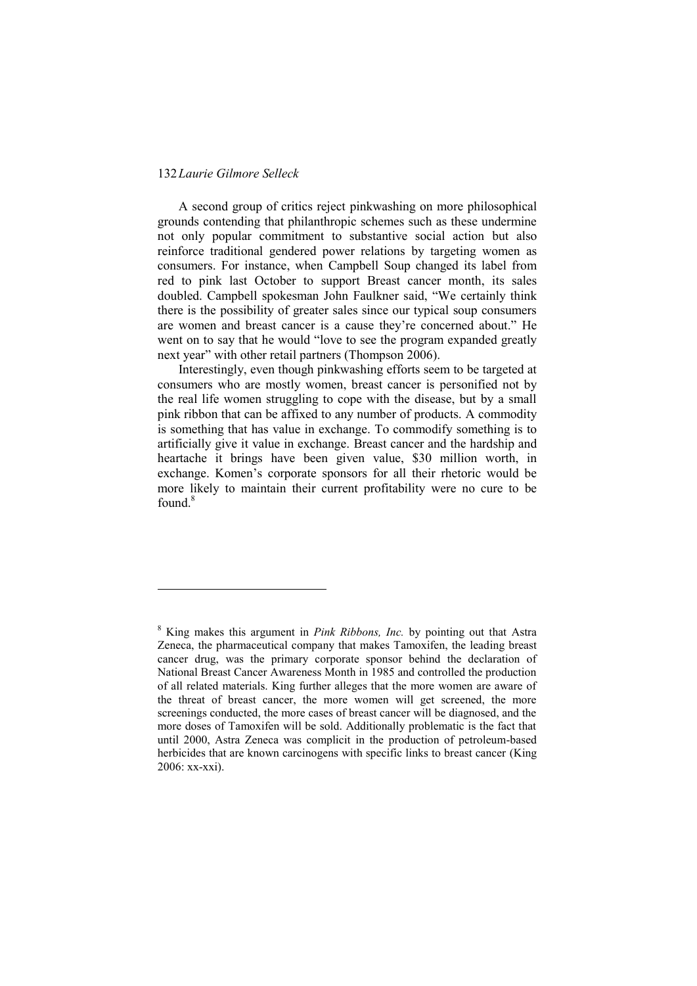1

A second group of critics reject pinkwashing on more philosophical grounds contending that philanthropic schemes such as these undermine not only popular commitment to substantive social action but also reinforce traditional gendered power relations by targeting women as consumers. For instance, when Campbell Soup changed its label from red to pink last October to support Breast cancer month, its sales doubled. Campbell spokesman John Faulkner said, "We certainly think there is the possibility of greater sales since our typical soup consumers are women and breast cancer is a cause they're concerned about." He went on to say that he would "love to see the program expanded greatly next year" with other retail partners (Thompson 2006).

Interestingly, even though pinkwashing efforts seem to be targeted at consumers who are mostly women, breast cancer is personified not by the real life women struggling to cope with the disease, but by a small pink ribbon that can be affixed to any number of products. A commodity is something that has value in exchange. To commodify something is to artificially give it value in exchange. Breast cancer and the hardship and heartache it brings have been given value, \$30 million worth, in exchange. Komen's corporate sponsors for all their rhetoric would be more likely to maintain their current profitability were no cure to be found.<sup>8</sup>

<sup>8</sup> King makes this argument in *Pink Ribbons, Inc.* by pointing out that Astra Zeneca, the pharmaceutical company that makes Tamoxifen, the leading breast cancer drug, was the primary corporate sponsor behind the declaration of National Breast Cancer Awareness Month in 1985 and controlled the production of all related materials. King further alleges that the more women are aware of the threat of breast cancer, the more women will get screened, the more screenings conducted, the more cases of breast cancer will be diagnosed, and the more doses of Tamoxifen will be sold. Additionally problematic is the fact that until 2000, Astra Zeneca was complicit in the production of petroleum-based herbicides that are known carcinogens with specific links to breast cancer (King 2006: xx-xxi).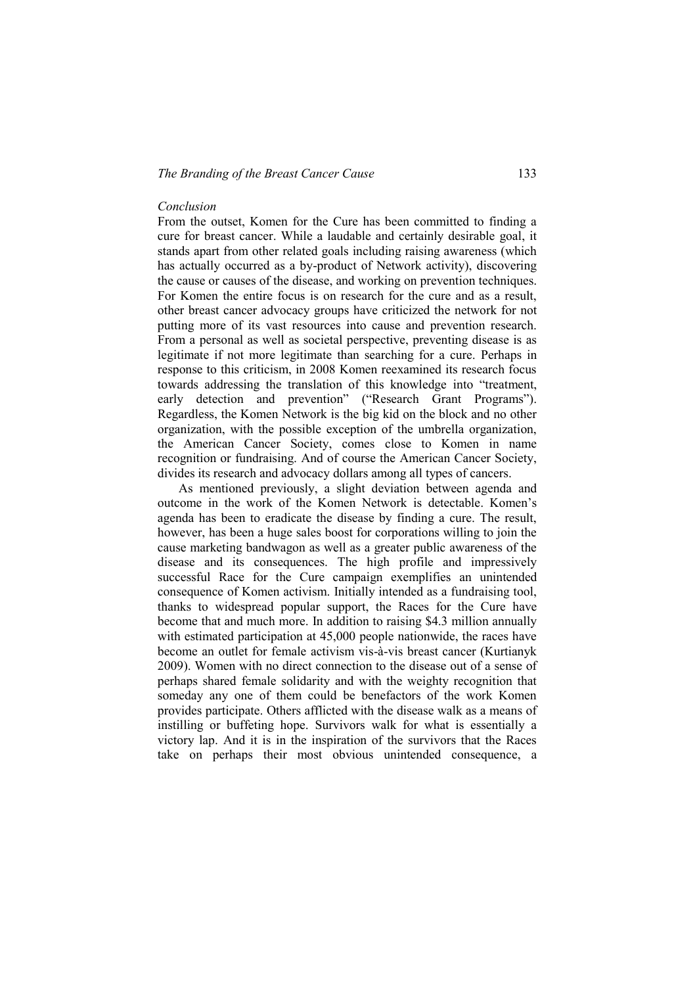#### *The Branding of the Breast Cancer Cause* 133

#### *Conclusion*

From the outset, Komen for the Cure has been committed to finding a cure for breast cancer. While a laudable and certainly desirable goal, it stands apart from other related goals including raising awareness (which has actually occurred as a by-product of Network activity), discovering the cause or causes of the disease, and working on prevention techniques. For Komen the entire focus is on research for the cure and as a result, other breast cancer advocacy groups have criticized the network for not putting more of its vast resources into cause and prevention research. From a personal as well as societal perspective, preventing disease is as legitimate if not more legitimate than searching for a cure. Perhaps in response to this criticism, in 2008 Komen reexamined its research focus towards addressing the translation of this knowledge into "treatment, early detection and prevention" ("Research Grant Programs"). Regardless, the Komen Network is the big kid on the block and no other organization, with the possible exception of the umbrella organization, the American Cancer Society, comes close to Komen in name recognition or fundraising. And of course the American Cancer Society, divides its research and advocacy dollars among all types of cancers.

As mentioned previously, a slight deviation between agenda and outcome in the work of the Komen Network is detectable. Komen's agenda has been to eradicate the disease by finding a cure. The result, however, has been a huge sales boost for corporations willing to join the cause marketing bandwagon as well as a greater public awareness of the disease and its consequences. The high profile and impressively successful Race for the Cure campaign exemplifies an unintended consequence of Komen activism. Initially intended as a fundraising tool, thanks to widespread popular support, the Races for the Cure have become that and much more. In addition to raising \$4.3 million annually with estimated participation at 45,000 people nationwide, the races have become an outlet for female activism vis-à-vis breast cancer (Kurtianyk 2009). Women with no direct connection to the disease out of a sense of perhaps shared female solidarity and with the weighty recognition that someday any one of them could be benefactors of the work Komen provides participate. Others afflicted with the disease walk as a means of instilling or buffeting hope. Survivors walk for what is essentially a victory lap. And it is in the inspiration of the survivors that the Races take on perhaps their most obvious unintended consequence, a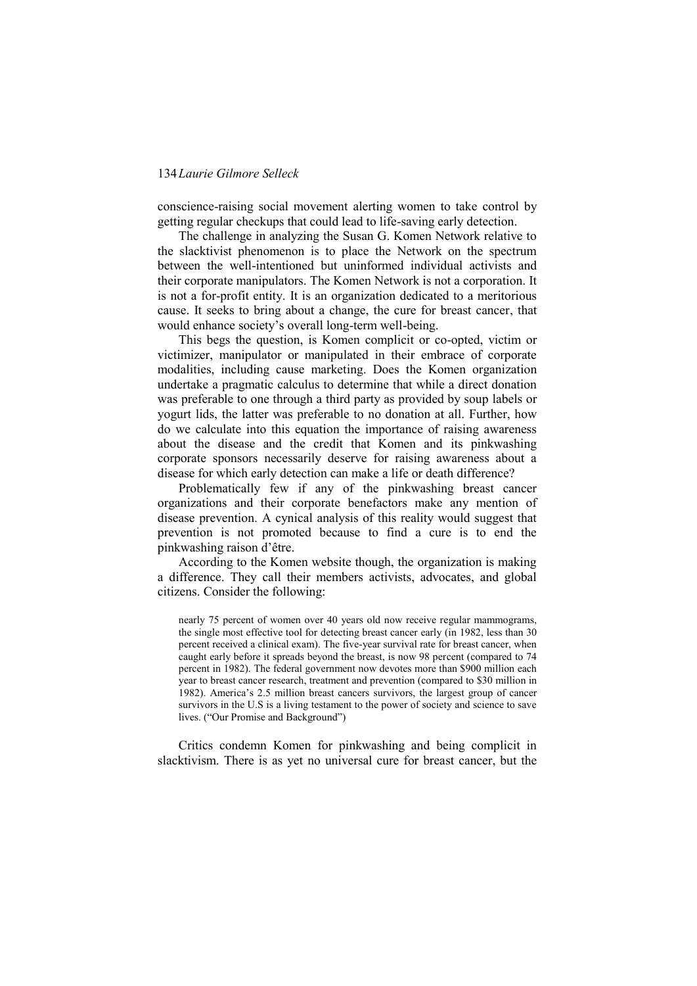conscience-raising social movement alerting women to take control by getting regular checkups that could lead to life-saving early detection.

The challenge in analyzing the Susan G. Komen Network relative to the slacktivist phenomenon is to place the Network on the spectrum between the well-intentioned but uninformed individual activists and their corporate manipulators. The Komen Network is not a corporation. It is not a for-profit entity. It is an organization dedicated to a meritorious cause. It seeks to bring about a change, the cure for breast cancer, that would enhance society's overall long-term well-being.

This begs the question, is Komen complicit or co-opted, victim or victimizer, manipulator or manipulated in their embrace of corporate modalities, including cause marketing. Does the Komen organization undertake a pragmatic calculus to determine that while a direct donation was preferable to one through a third party as provided by soup labels or yogurt lids, the latter was preferable to no donation at all. Further, how do we calculate into this equation the importance of raising awareness about the disease and the credit that Komen and its pinkwashing corporate sponsors necessarily deserve for raising awareness about a disease for which early detection can make a life or death difference?

Problematically few if any of the pinkwashing breast cancer organizations and their corporate benefactors make any mention of disease prevention. A cynical analysis of this reality would suggest that prevention is not promoted because to find a cure is to end the pinkwashing raison d'être.

According to the Komen website though, the organization is making a difference. They call their members activists, advocates, and global citizens. Consider the following:

nearly 75 percent of women over 40 years old now receive regular mammograms, the single most effective tool for detecting breast cancer early (in 1982, less than 30 percent received a clinical exam). The five-year survival rate for breast cancer, when caught early before it spreads beyond the breast, is now 98 percent (compared to 74 percent in 1982). The federal government now devotes more than \$900 million each year to breast cancer research, treatment and prevention (compared to \$30 million in 1982). America's 2.5 million breast cancers survivors, the largest group of cancer survivors in the U.S is a living testament to the power of society and science to save lives. ("Our Promise and Background")

Critics condemn Komen for pinkwashing and being complicit in slacktivism. There is as yet no universal cure for breast cancer, but the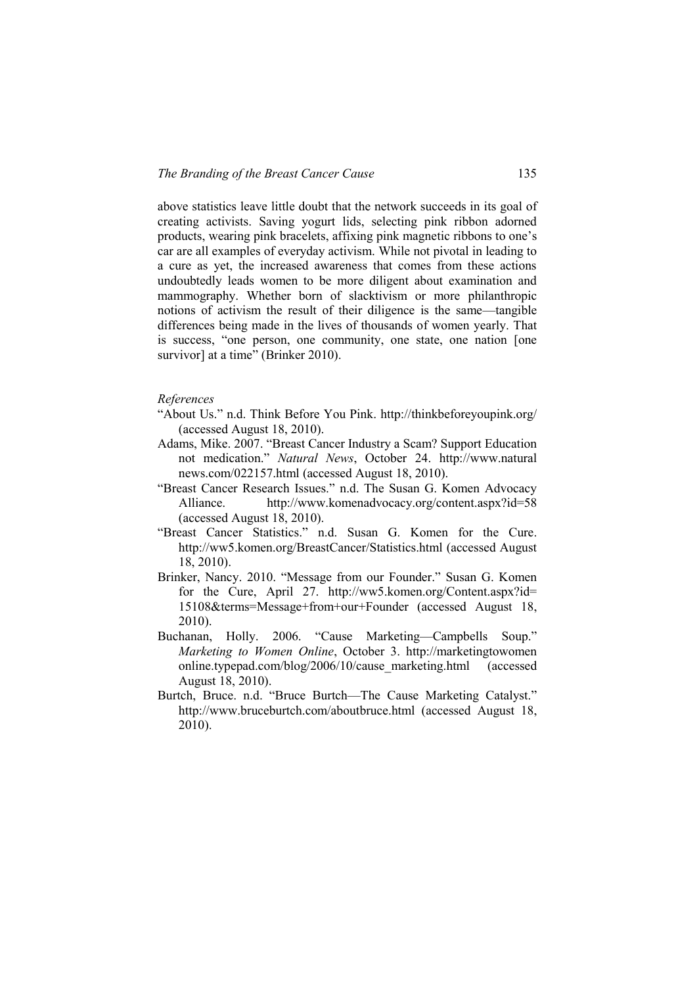above statistics leave little doubt that the network succeeds in its goal of creating activists. Saving yogurt lids, selecting pink ribbon adorned products, wearing pink bracelets, affixing pink magnetic ribbons to one's car are all examples of everyday activism. While not pivotal in leading to a cure as yet, the increased awareness that comes from these actions undoubtedly leads women to be more diligent about examination and mammography. Whether born of slacktivism or more philanthropic notions of activism the result of their diligence is the same—tangible differences being made in the lives of thousands of women yearly. That is success, "one person, one community, one state, one nation [one survivor] at a time" (Brinker 2010).

#### *References*

- "About Us." n.d. Think Before You Pink. http://thinkbeforeyoupink.org/ (accessed August 18, 2010).
- Adams, Mike. 2007. "Breast Cancer Industry a Scam? Support Education not medication.‖ *Natural News*, October 24. [http://www.natural](http://www.naturalnews.com/022157.html) [news.com/022157.html](http://www.naturalnews.com/022157.html) (accessed August 18, 2010).
- "Breast Cancer Research Issues." n.d. The Susan G. Komen Advocacy Alliance. <http://www.komenadvocacy.org/content.aspx?id=58> (accessed August 18, 2010).
- "Breast Cancer Statistics." n.d. Susan G. Komen for the Cure. <http://ww5.komen.org/BreastCancer/Statistics.html> (accessed August 18, 2010).
- Brinker, Nancy. 2010. "Message from our Founder." Susan G. Komen for the Cure, April 27. http://ww5.komen.org/Content.aspx?id= 15108&terms=Message+from+our+Founder (accessed August 18, 2010).
- Buchanan, Holly. 2006. 
"Cause Marketing—Campbells Soup." *Marketing to Women Online*, October 3. http://marketingtowomen online.typepad.com/blog/2006/10/cause\_marketing.html (accessed August 18, 2010).
- Burtch, Bruce. n.d. "Bruce Burtch—The Cause Marketing Catalyst." <http://www.bruceburtch.com/aboutbruce.html> (accessed August 18, 2010).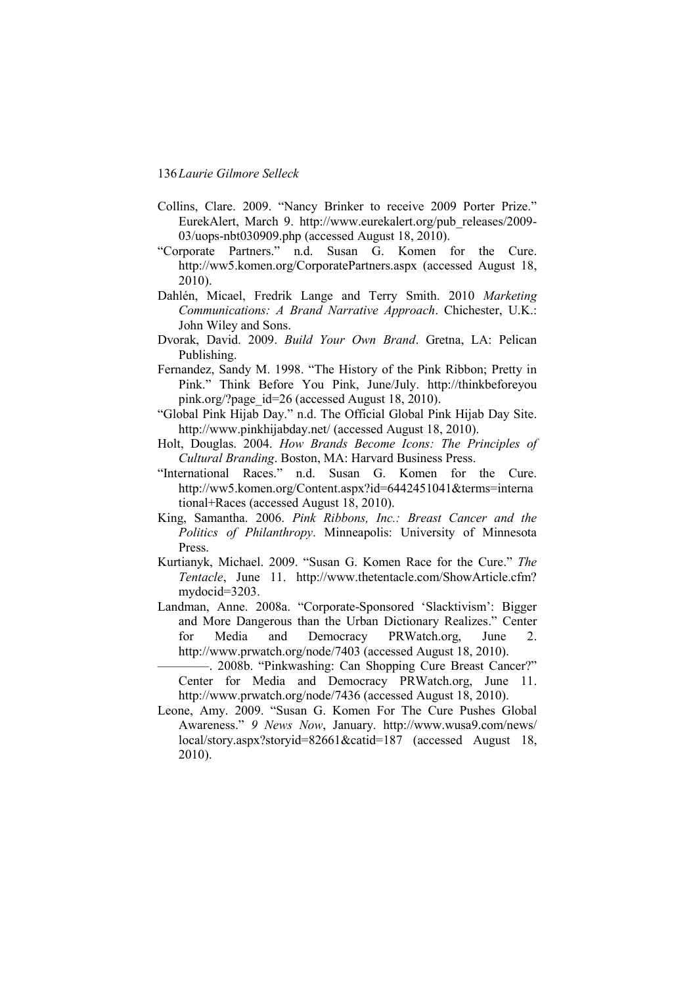- Collins, Clare. 2009. "Nancy Brinker to receive 2009 Porter Prize." EurekAlert, March 9. [http://www.eurekalert.org/pub\\_releases/2009-](http://www.eurekalert.org/pub_releases/2009-03/uops-nbt030909.php) [03/uops-nbt030909.php](http://www.eurekalert.org/pub_releases/2009-03/uops-nbt030909.php) (accessed August 18, 2010).
- ―Corporate Partners.‖ n.d. Susan G. Komen for the Cure. http://ww5.komen.org/CorporatePartners.aspx (accessed August 18, 2010).
- Dahlén, Micael, Fredrik Lange and Terry Smith. 2010 *Marketing Communications: A Brand Narrative Approach*. Chichester, U.K.: John Wiley and Sons.
- Dvorak, David. 2009. *Build Your Own Brand*. Gretna, LA: Pelican Publishing.
- Fernandez, Sandy M. 1998. "The History of the Pink Ribbon; Pretty in Pink." Think Before You Pink, June/July. [http://thinkbeforeyou](http://thinkbeforeyoupink.org/?page_id=26) [pink.org/?page\\_id=26](http://thinkbeforeyoupink.org/?page_id=26) (accessed August 18, 2010).
- ―Global Pink Hijab Day.‖ n.d. The Official Global Pink Hijab Day Site. http://www.pinkhijabday.net/ (accessed August 18, 2010).
- Holt, Douglas. 2004. *How Brands Become Icons: The Principles of Cultural Branding*. Boston, MA: Harvard Business Press.
- "International Races." n.d. Susan G. Komen for the Cure. http://ww5.komen.org/Content.aspx?id=6442451041&terms=interna tional+Races (accessed August 18, 2010).
- King, Samantha. 2006. *Pink Ribbons, Inc.: Breast Cancer and the Politics of Philanthropy*. Minneapolis: University of Minnesota Press.
- Kurtianyk, Michael. 2009. "Susan G. Komen Race for the Cure." The *Tentacle*, June 11. http://www.thetentacle.com/ShowArticle.cfm? mydocid=3203.
- Landman, Anne. 2008a. "Corporate-Sponsored 'Slacktivism': Bigger and More Dangerous than the Urban Dictionary Realizes." Center for Media and Democracy PRWatch.org, June 2. http://www.prwatch.org/node/7403 (accessed August 18, 2010).
	- —. 2008b. "Pinkwashing: Can Shopping Cure Breast Cancer?" Center for Media and Democracy PRWatch.org, June 11. http://www.prwatch.org/node/7436 (accessed August 18, 2010).
- Leone, Amy. 2009. "Susan G. Komen For The Cure Pushes Global Awareness.‖ *9 News Now*, January. [http://www.wusa9.com/news/](http://www.wusa9.com/news/local/story.aspx?storyid=82661&catid=187) [local/story.aspx?storyid=82661&catid=187](http://www.wusa9.com/news/local/story.aspx?storyid=82661&catid=187) (accessed August 18, 2010).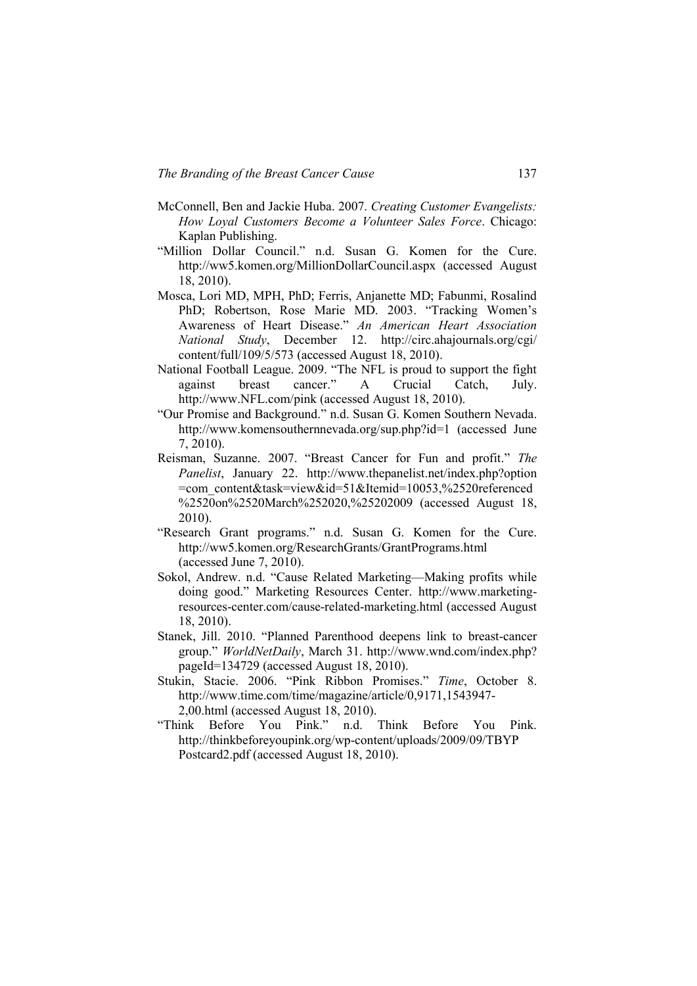- McConnell, Ben and Jackie Huba. 2007. *Creating Customer Evangelists: How Loyal Customers Become a Volunteer Sales Force*. Chicago: Kaplan Publishing.
- "Million Dollar Council." n.d. Susan G. Komen for the Cure. http://ww5.komen.org/MillionDollarCouncil.aspx (accessed August 18, 2010).
- Mosca, Lori MD, MPH, PhD; Ferris, Anjanette MD; Fabunmi, Rosalind PhD; Robertson, Rose Marie MD. 2003. "Tracking Women's Awareness of Heart Disease." An American Heart Association *National Study*, December 12. [http://circ.ahajournals.org/cgi/](http://circ.ahajournals.org/cgi/content/full/109/5/573) [content/full/109/5/573](http://circ.ahajournals.org/cgi/content/full/109/5/573) (accessed August 18, 2010).
- National Football League. 2009. "The NFL is proud to support the fight against breast cancer." A Crucial Catch, July. http:/[/www.NFL.com/pink](http://www.nfl.com/pink) (accessed August 18, 2010).
- ―Our Promise and Background.‖ n.d. Susan G. Komen Southern Nevada. <http://www.komensouthernnevada.org/sup.php?id=1> (accessed June 7, 2010).
- Reisman, Suzanne. 2007. "Breast Cancer for Fun and profit." The *Panelist*, January 22. [http://www.thepanelist.net/index.php?option](http://www.thepanelist.net/index.php?option=com_content&task=view&id=51&Itemid=10053,%2520referenced%2520on%2520March%252020,%25202009) [=com\\_content&task=view&id=51&Itemid=10053,%2520referenced](http://www.thepanelist.net/index.php?option=com_content&task=view&id=51&Itemid=10053,%2520referenced%2520on%2520March%252020,%25202009) [%2520on%2520March%252020,%25202009](http://www.thepanelist.net/index.php?option=com_content&task=view&id=51&Itemid=10053,%2520referenced%2520on%2520March%252020,%25202009) (accessed August 18, 2010).
- "Research Grant programs." n.d. Susan G. Komen for the Cure. http://ww5.komen.org/ResearchGrants/GrantPrograms.html (accessed June 7, 2010).
- Sokol, Andrew. n.d. "Cause Related Marketing—Making profits while doing good." Marketing Resources Center. [http://www.marketing](http://www.marketing-resources-center.com/cause-related-marketing.html)[resources-center.com/cause-related-marketing.html](http://www.marketing-resources-center.com/cause-related-marketing.html) (accessed August 18, 2010).
- Stanek, Jill. 2010. "Planned Parenthood deepens link to breast-cancer group." *WorldNetDaily*, March 31. [http://www.wnd.com/index.php?](http://www.wnd.com/index.php?pageId=134729) [pageId=134729](http://www.wnd.com/index.php?pageId=134729) (accessed August 18, 2010).
- Stukin, Stacie. 2006. "Pink Ribbon Promises." Time, October 8. http://www.time.com/time/magazine/article/0,9171,1543947- 2,00.html (accessed August 18, 2010).
- "Think Before You Pink." n.d. Think Before You Pink. http://thinkbeforeyoupink.org/wp-content/uploads/2009/09/TBYP Postcard2.pdf (accessed August 18, 2010).